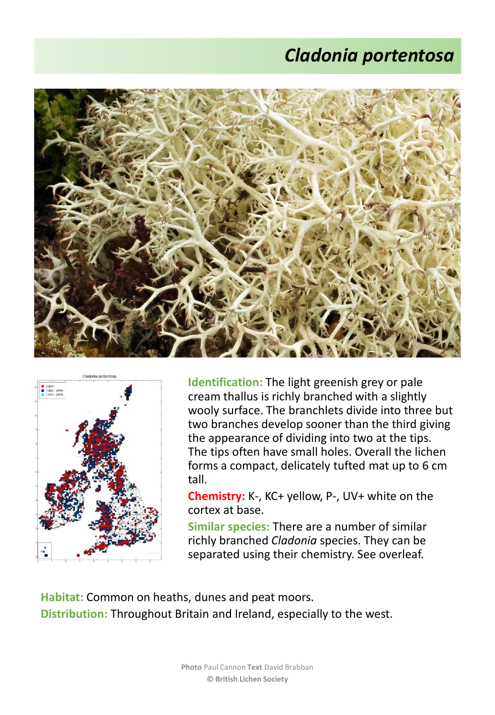## *Cladonia portentosa*





**Identification:** The light greenish grey or pale cream thallus is richly branched with a slightly wooly surface. The branchlets divide into three but two branches develop sooner than the third giving the appearance of dividing into two at the tips. The tips often have small holes. Overall the lichen forms a compact, delicately tufted mat up to 6 cm tall.

**Chemistry:** K-, KC+ yellow, P-, UV+ white on the cortex at base.

**Similar species:** There are a number of similar richly branched *Cladonia* species. They can be separated using their chemistry. See overleaf.

**Habitat:** Common on heaths, dunes and peat moors. **Distribution:** Throughout Britain and Ireland, especially to the west.